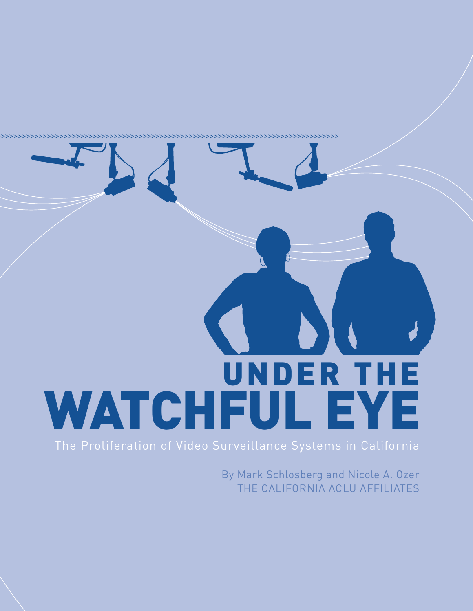# under the WATCHFUL EYE

>>>>>>>>>>>>>>>>>>>>>>>>>>>>>>>>>>>>>>>>>>>>>>>>>>>>>>>>>>>>>>>>>>>>>>>>>>>>>>>>>>>>>>>>>>>>>>>>>>>>>>>>>>>>>>>>>>>>

The Proliferation of Video Surveillance Systems in California

By Mark Schlosberg and Nicole A. Ozer The California ACLU Affiliates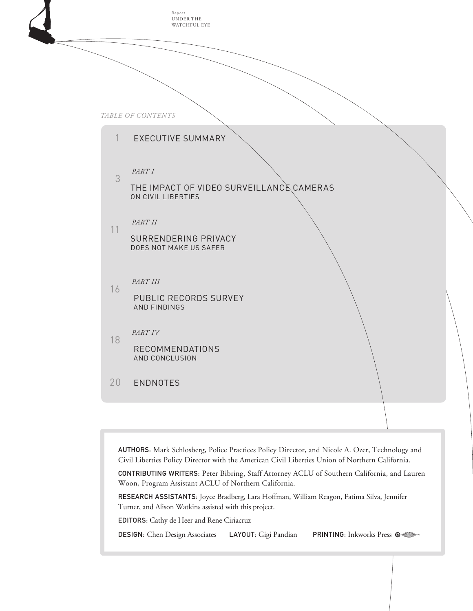

Authors: Mark Schlosberg, Police Practices Policy Director, and Nicole A. Ozer, Technology and Civil Liberties Policy Director with the American Civil Liberties Union of Northern California.

CONTRIBUTING WRITERS: Peter Bibring, Staff Attorney ACLU of Southern California, and Lauren Woon, Program Assistant ACLU of Northern California.

Research Assistants: Joyce Bradberg, Lara Hoffman, William Reagon, Fatima Silva, Jennifer Turner, and Alison Watkins assisted with this project.

EDITORS: Cathy de Heer and Rene Ciriacruz

DESIGN: Chen Design Associates LAYOUT: Gigi Pandian PRINTING: Inkworks Press  $\circledast$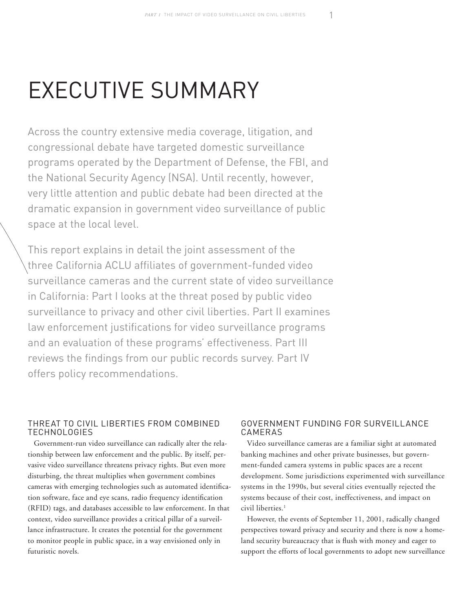# executive summary

Across the country extensive media coverage, litigation, and congressional debate have targeted domestic surveillance programs operated by the Department of Defense, the FBI, and the National Security Agency (NSA). Until recently, however, very little attention and public debate had been directed at the dramatic expansion in government video surveillance of public space at the local level.

This report explains in detail the joint assessment of the three California ACLU affiliates of government-funded video surveillance cameras and the current state of video surveillance in California: Part I looks at the threat posed by public video surveillance to privacy and other civil liberties. Part II examines law enforcement justifications for video surveillance programs and an evaluation of these programs' effectiveness. Part III reviews the findings from our public records survey. Part IV offers policy recommendations.

#### Threat to Civil Liberties from Combined **TECHNOLOGIES**

Government-run video surveillance can radically alter the relationship between law enforcement and the public. By itself, pervasive video surveillance threatens privacy rights. But even more disturbing, the threat multiplies when government combines cameras with emerging technologies such as automated identification software, face and eye scans, radio frequency identification (RFID) tags, and databases accessible to law enforcement. In that context, video surveillance provides a critical pillar of a surveillance infrastructure. It creates the potential for the government to monitor people in public space, in a way envisioned only in futuristic novels.

#### Government Funding for Surveillance **CAMERAS**

Video surveillance cameras are a familiar sight at automated banking machines and other private businesses, but government-funded camera systems in public spaces are a recent development. Some jurisdictions experimented with surveillance systems in the 1990s, but several cities eventually rejected the systems because of their cost, ineffectiveness, and impact on civil liberties.<sup>1</sup>

However, the events of September 11, 2001, radically changed perspectives toward privacy and security and there is now a homeland security bureaucracy that is flush with money and eager to support the efforts of local governments to adopt new surveillance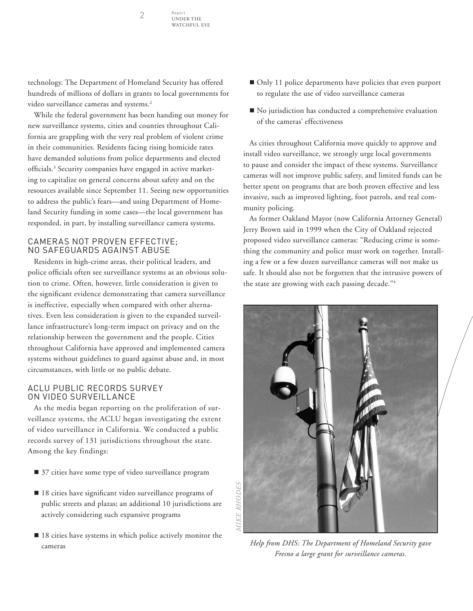Report

technology. The Department of Homeland Security has offered hundreds of millions of dollars in grants to local governments for video surveillance cameras and systems.<sup>2</sup>

While the federal government has been handing out money for new surveillance systems, cities and counties throughout California are grappling with the very real problem of violent crime in their communities. Residents facing rising homicide rates have demanded solutions from police departments and elected officials.<sup>3</sup> Security companies have engaged in active marketing to capitalize on general concerns about safety and on the resources available since September 11. Seeing new opportunities to address the public's fears—and using Department of Homeland Security funding in some cases—the local government has responded, in part, by installing surveillance camera systems.

#### Cameras Not Proven Effective; No Safeguards against Abuse

Residents in high-crime areas, their political leaders, and police officials often see surveillance systems as an obvious solution to crime. Often, however, little consideration is given to the significant evidence demonstrating that camera surveillance is ineffective, especially when compared with other alternatives. Even less consideration is given to the expanded surveillance infrastructure's long-term impact on privacy and on the relationship between the government and the people. Cities throughout California have approved and implemented camera systems without guidelines to guard against abuse and, in most circumstances, with little or no public debate.

#### ACLU Public Records Survey on Video Surveillance

As the media began reporting on the proliferation of surveillance systems, the ACLU began investigating the extent of video surveillance in California. We conducted a public records survey of 131 jurisdictions throughout the state. Among the key findings:

- 37 cities have some type of video surveillance program
- 18 cities have significant video surveillance programs of public streets and plazas; an additional 10 jurisdictions are actively considering such expansive programs
- $\blacksquare$  18 cities have systems in which police actively monitor the cameras
- Only 11 police departments have policies that even purport to regulate the use of video surveillance cameras
- n No jurisdiction has conducted a comprehensive evaluation of the cameras' effectiveness

As cities throughout California move quickly to approve and install video surveillance, we strongly urge local governments to pause and consider the impact of these systems. Surveillance cameras will not improve public safety, and limited funds can be better spent on programs that are both proven effective and less invasive, such as improved lighting, foot patrols, and real community policing.

As former Oakland Mayor (now California Attorney General) Jerry Brown said in 1999 when the City of Oakland rejected proposed video surveillance cameras: "Reducing crime is something the community and police must work on together. Installing a few or a few dozen surveillance cameras will not make us safe. It should also not be forgotten that the intrusive powers of the state are growing with each passing decade."4



*Help from DHS: The Department of Homeland Security gave Fresno a large grant for surveillance cameras.*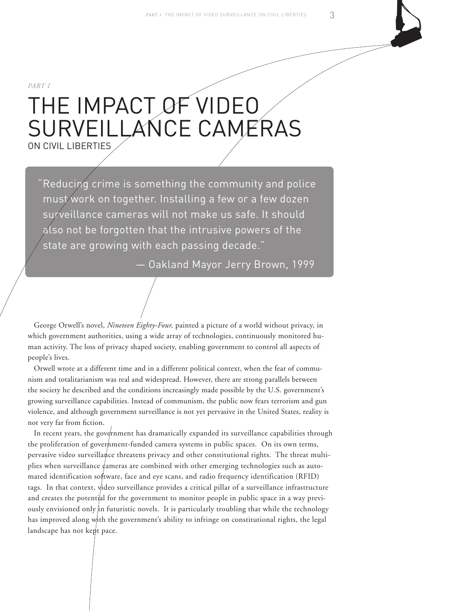## *Part I* The Impact of Video SURVEILLANCE CAMERAS on Civil Liberties

" Reducing crime is something the community and police must work on together. Installing a few or a few dozen surveillance cameras will not make us safe. It should also not be forgotten that the intrusive powers of the state are growing with each passing decade."

 — Oakland Mayor Jerry Brown, 1999

George Orwell's novel, *Nineteen Eighty-Four,* painted a picture of a world without privacy, in which government authorities, using a wide array of technologies, continuously monitored human activity. The loss of privacy shaped society, enabling government to control all aspects of people's lives.

Orwell wrote at a different time and in a different political context, when the fear of communism and totalitarianism was real and widespread. However, there are strong parallels between the society he described and the conditions increasingly made possible by the U.S. government's growing surveillance capabilities. Instead of communism, the public now fears terrorism and gun violence, and although government surveillance is not yet pervasive in the United States, reality is not very far from fiction.

In recent years, the government has dramatically expanded its surveillance capabilities through the proliferation of government-funded camera systems in public spaces. On its own terms, pervasive video surveillance threatens privacy and other constitutional rights. The threat multiplies when surveillance  $\phi$ ameras are combined with other emerging technologies such as automated identification software, face and eye scans, and radio frequency identification (RFID) tags. In that context, video surveillance provides a critical pillar of a surveillance infrastructure and creates the potential for the government to monitor people in public space in a way previously envisioned only  $\ln$  futuristic novels. It is particularly troubling that while the technology has improved along with the government's ability to infringe on constitutional rights, the legal landscape has not kept pace.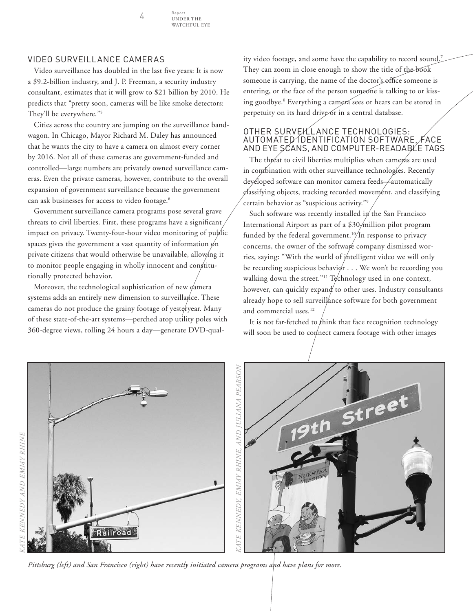Report

#### Video Surveillance Cameras

Video surveillance has doubled in the last five years: It is now a \$9.2-billion industry, and J. P. Freeman, a security industry consultant, estimates that it will grow to \$21 billion by 2010. He predicts that "pretty soon, cameras will be like smoke detectors: They'll be everywhere."5

Cities across the country are jumping on the surveillance bandwagon. In Chicago, Mayor Richard M. Daley has announced that he wants the city to have a camera on almost every corner by 2016. Not all of these cameras are government-funded and controlled—large numbers are privately owned surveillance cameras. Even the private cameras, however, contribute to the overall expansion of government surveillance because the government can ask businesses for access to video footage.<sup>6</sup>

Government surveillance camera programs pose several grave threats to civil liberties. First, these programs have a significant impact on privacy. Twenty-four-hour video monitoring of public spaces gives the government a vast quantity of information  $\phi$ n private citizens that would otherwise be unavailable, allowing it to monitor people engaging in wholly innocent and constitutionally protected behavior.

Moreover, the technological sophistication of new  $\phi$ amera systems adds an entirely new dimension to surveillance. These cameras do not produce the grainy footage of yesteryear. Many of these state-of-the-art systems—perched atop utility poles with 360-degree views, rolling 24 hours a day—generate DVD-quality video footage, and some have the capability to record sound.<sup>7</sup> They can zoom in close enough to show the title of the book someone is carrying, the name of the doctor's office someone is entering, or the face of the person someone is talking to or kissing goodbye.<sup>8</sup> Everything a camera sees or hears can be stored in perpetuity on its hard drive or in a central database.

#### OTHER SURVEILLANCE TECHNOLOGIES: AUTOMATED IDENTIFICATION SOFTWARE, FACE and Eye Scans, and Computer-Readable Tags

The threat to civil liberties multiplies when cameras are used in combination with other surveillance technologies. Recently developed software can monitor camera feeds—automatically classifying objects, tracking recorded movement, and classifying certain behavior as "suspicious activity."9

Such software was recently installed  $\mathrm{i}$  the San Francisco International Airport as part of a \$30-million pilot program funded by the federal government.<sup>10</sup>/In response to privacy concerns, the owner of the software company dismissed worries, saying: "With the world of intelligent video we will only be recording suspicious behavior  $\dots$  We won't be recording you walking down the street."<sup>11</sup> Technology used in one context, however, can quickly expand to other uses. Industry consultants already hope to sell surveillance software for both government and commercial uses.<sup>12</sup>

It is not far-fetched to think that face recognition technology will soon be used to connect camera footage with other images



*Pittsburg (left) and San Francisco (right) have recently initiated camera programs and have plans for more.*



KENNEDY AND EMMY RHINE *Kennedy and Emmy RhineKate*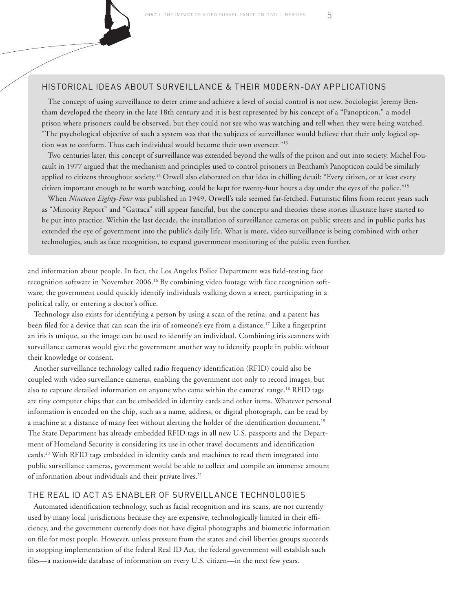#### Historical Ideas About Surveillance & Their Modern-Day Applications

The concept of using surveillance to deter crime and achieve a level of social control is not new. Sociologist Jeremy Bentham developed the theory in the late 18th century and it is best represented by his concept of a "Panopticon," a model prison where prisoners could be observed, but they could not see who was watching and tell when they were being watched. "The psychological objective of such a system was that the subjects of surveillance would believe that their only logical option was to conform. Thus each individual would become their own overseer."13

Two centuries later, this concept of surveillance was extended beyond the walls of the prison and out into society. Michel Foucault in 1977 argued that the mechanism and principles used to control prisoners in Bentham's Panopticon could be similarly applied to citizens throughout society.<sup>14</sup> Orwell also elaborated on that idea in chilling detail: "Every citizen, or at least every citizen important enough to be worth watching, could be kept for twenty-four hours a day under the eyes of the police."15

When *Nineteen Eighty-Four* was published in 1949, Orwell's tale seemed far-fetched. Futuristic films from recent years such as "Minority Report" and "Gattaca" still appear fanciful, but the concepts and theories these stories illustrate have started to be put into practice. Within the last decade, the installation of surveillance cameras on public streets and in public parks has extended the eye of government into the public's daily life. What is more, video surveillance is being combined with other technologies, such as face recognition, to expand government monitoring of the public even further.

and information about people. In fact, the Los Angeles Police Department was field-testing face recognition software in November 2006.<sup>16</sup> By combining video footage with face recognition software, the government could quickly identify individuals walking down a street, participating in a political rally, or entering a doctor's office.

Technology also exists for identifying a person by using a scan of the retina, and a patent has been filed for a device that can scan the iris of someone's eye from a distance.17 Like a fingerprint an iris is unique, so the image can be used to identify an individual. Combining iris scanners with surveillance cameras would give the government another way to identify people in public without their knowledge or consent.

Another surveillance technology called radio frequency identification (RFID) could also be coupled with video surveillance cameras, enabling the government not only to record images, but also to capture detailed information on anyone who came within the cameras' range.<sup>18</sup> RFID tags are tiny computer chips that can be embedded in identity cards and other items. Whatever personal information is encoded on the chip, such as a name, address, or digital photograph, can be read by a machine at a distance of many feet without alerting the holder of the identification document.<sup>19</sup> The State Department has already embedded RFID tags in all new U.S. passports and the Department of Homeland Security is considering its use in other travel documents and identification cards.20 With RFID tags embedded in identity cards and machines to read them integrated into public surveillance cameras, government would be able to collect and compile an immense amount of information about individuals and their private lives.<sup>21</sup>

#### The Real ID Act as Enabler of Surveillance Technologies

Automated identification technology, such as facial recognition and iris scans, are not currently used by many local jurisdictions because they are expensive, technologically limited in their efficiency, and the government currently does not have digital photographs and biometric information on file for most people. However, unless pressure from the states and civil liberties groups succeeds in stopping implementation of the federal Real ID Act, the federal government will establish such files—a nationwide database of information on every U.S. citizen—in the next few years.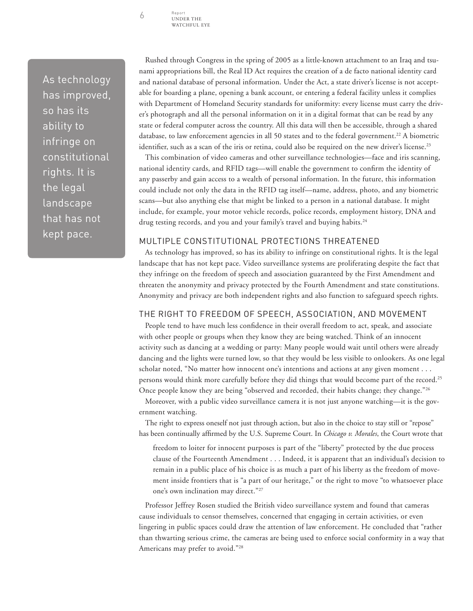Report Under the WATCHELLL EVE

As technology has improved, so has its ability to infringe on constitutional rights. It is the legal landscape that has not kept pace.

Rushed through Congress in the spring of 2005 as a little-known attachment to an Iraq and tsunami appropriations bill, the Real ID Act requires the creation of a de facto national identity card and national database of personal information. Under the Act, a state driver's license is not acceptable for boarding a plane, opening a bank account, or entering a federal facility unless it complies with Department of Homeland Security standards for uniformity: every license must carry the driver's photograph and all the personal information on it in a digital format that can be read by any state or federal computer across the country. All this data will then be accessible, through a shared database, to law enforcement agencies in all 50 states and to the federal government.<sup>22</sup> A biometric identifier, such as a scan of the iris or retina, could also be required on the new driver's license.<sup>23</sup>

This combination of video cameras and other surveillance technologies—face and iris scanning, national identity cards, and RFID tags—will enable the government to confirm the identity of any passerby and gain access to a wealth of personal information. In the future, this information could include not only the data in the RFID tag itself—name, address, photo, and any biometric scans—but also anything else that might be linked to a person in a national database. It might include, for example, your motor vehicle records, police records, employment history, DNA and drug testing records, and you and your family's travel and buying habits.<sup>24</sup>

#### Multiple Constitutional Protections Threatened

As technology has improved, so has its ability to infringe on constitutional rights. It is the legal landscape that has not kept pace. Video surveillance systems are proliferating despite the fact that they infringe on the freedom of speech and association guaranteed by the First Amendment and threaten the anonymity and privacy protected by the Fourth Amendment and state constitutions. Anonymity and privacy are both independent rights and also function to safeguard speech rights.

#### The Right to Freedom of Speech, Association, and Movement

People tend to have much less confidence in their overall freedom to act, speak, and associate with other people or groups when they know they are being watched. Think of an innocent activity such as dancing at a wedding or party: Many people would wait until others were already dancing and the lights were turned low, so that they would be less visible to onlookers. As one legal scholar noted, "No matter how innocent one's intentions and actions at any given moment . . . persons would think more carefully before they did things that would become part of the record.25 Once people know they are being "observed and recorded, their habits change; they change."26

Moreover, with a public video surveillance camera it is not just anyone watching—it is the government watching.

The right to express oneself not just through action, but also in the choice to stay still or "repose" has been continually affirmed by the U.S. Supreme Court. In *Chicago v. Morales*, the Court wrote that

freedom to loiter for innocent purposes is part of the "liberty" protected by the due process clause of the Fourteenth Amendment . . . Indeed, it is apparent that an individual's decision to remain in a public place of his choice is as much a part of his liberty as the freedom of movement inside frontiers that is "a part of our heritage," or the right to move "to whatsoever place one's own inclination may direct."27

Professor Jeffrey Rosen studied the British video surveillance system and found that cameras cause individuals to censor themselves, concerned that engaging in certain activities, or even lingering in public spaces could draw the attention of law enforcement. He concluded that "rather than thwarting serious crime, the cameras are being used to enforce social conformity in a way that Americans may prefer to avoid."28

6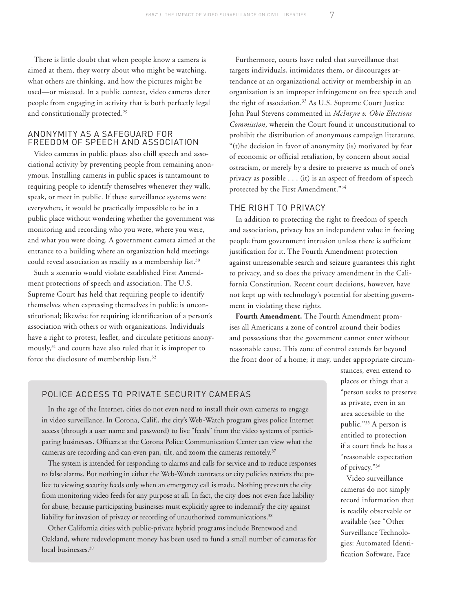There is little doubt that when people know a camera is aimed at them, they worry about who might be watching, what others are thinking, and how the pictures might be used—or misused. In a public context, video cameras deter people from engaging in activity that is both perfectly legal and constitutionally protected.<sup>29</sup>

#### Anonymity as a Safeguard for Freedom of Speech and Association

Video cameras in public places also chill speech and associational activity by preventing people from remaining anonymous. Installing cameras in public spaces is tantamount to requiring people to identify themselves whenever they walk, speak, or meet in public. If these surveillance systems were everywhere, it would be practically impossible to be in a public place without wondering whether the government was monitoring and recording who you were, where you were, and what you were doing. A government camera aimed at the entrance to a building where an organization held meetings could reveal association as readily as a membership list.<sup>30</sup>

Such a scenario would violate established First Amendment protections of speech and association. The U.S. Supreme Court has held that requiring people to identify themselves when expressing themselves in public is unconstitutional; likewise for requiring identification of a person's association with others or with organizations. Individuals have a right to protest, leaflet, and circulate petitions anonymously,31 and courts have also ruled that it is improper to force the disclosure of membership lists.<sup>32</sup>

Furthermore, courts have ruled that surveillance that targets individuals, intimidates them, or discourages attendance at an organizational activity or membership in an organization is an improper infringement on free speech and the right of association.33 As U.S. Supreme Court Justice John Paul Stevens commented in *McIntyre v. Ohio Elections Commission*, wherein the Court found it unconstitutional to prohibit the distribution of anonymous campaign literature, "(t)he decision in favor of anonymity (is) motivated by fear of economic or official retaliation, by concern about social ostracism, or merely by a desire to preserve as much of one's privacy as possible . . . (it) is an aspect of freedom of speech protected by the First Amendment."34

#### The Right to Privacy

In addition to protecting the right to freedom of speech and association, privacy has an independent value in freeing people from government intrusion unless there is sufficient justification for it. The Fourth Amendment protection against unreasonable search and seizure guarantees this right to privacy, and so does the privacy amendment in the California Constitution. Recent court decisions, however, have not kept up with technology's potential for abetting government in violating these rights.

**Fourth Amendment.** The Fourth Amendment promises all Americans a zone of control around their bodies and possessions that the government cannot enter without reasonable cause. This zone of control extends far beyond the front door of a home; it may, under appropriate circum-

#### Police Access to Private Security Cameras

In the age of the Internet, cities do not even need to install their own cameras to engage in video surveillance. In Corona, Calif., the city's Web-Watch program gives police Internet access (through a user name and password) to live "feeds" from the video systems of participating businesses. Officers at the Corona Police Communication Center can view what the cameras are recording and can even pan, tilt, and zoom the cameras remotely.<sup>37</sup>

The system is intended for responding to alarms and calls for service and to reduce responses to false alarms. But nothing in either the Web-Watch contracts or city policies restricts the police to viewing security feeds only when an emergency call is made. Nothing prevents the city from monitoring video feeds for any purpose at all. In fact, the city does not even face liability for abuse, because participating businesses must explicitly agree to indemnify the city against liability for invasion of privacy or recording of unauthorized communications.<sup>38</sup>

Other California cities with public-private hybrid programs include Brentwood and Oakland, where redevelopment money has been used to fund a small number of cameras for local businesses.<sup>39</sup>

stances, even extend to places or things that a "person seeks to preserve as private, even in an area accessible to the public."35 A person is entitled to protection if a court finds he has a "reasonable expectation of privacy."36

Video surveillance cameras do not simply record information that is readily observable or available (see "Other Surveillance Technologies: Automated Identification Software, Face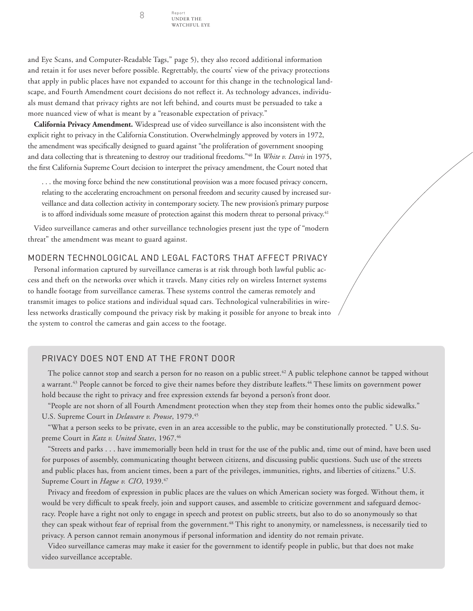Report

and Eye Scans, and Computer-Readable Tags," page 5), they also record additional information and retain it for uses never before possible. Regrettably, the courts' view of the privacy protections that apply in public places have not expanded to account for this change in the technological landscape, and Fourth Amendment court decisions do not reflect it. As technology advances, individuals must demand that privacy rights are not left behind, and courts must be persuaded to take a more nuanced view of what is meant by a "reasonable expectation of privacy."

**California Privacy Amendment.** Widespread use of video surveillance is also inconsistent with the explicit right to privacy in the California Constitution. Overwhelmingly approved by voters in 1972, the amendment was specifically designed to guard against "the proliferation of government snooping and data collecting that is threatening to destroy our traditional freedoms."40 In *White v. Davis* in 1975, the first California Supreme Court decision to interpret the privacy amendment, the Court noted that

... the moving force behind the new constitutional provision was a more focused privacy concern, relating to the accelerating encroachment on personal freedom and security caused by increased surveillance and data collection activity in contemporary society. The new provision's primary purpose is to afford individuals some measure of protection against this modern threat to personal privacy.<sup>41</sup>

Video surveillance cameras and other surveillance technologies present just the type of "modern threat" the amendment was meant to guard against.

#### Modern Technological and Legal Factors That Affect Privacy

Personal information captured by surveillance cameras is at risk through both lawful public access and theft on the networks over which it travels. Many cities rely on wireless Internet systems to handle footage from surveillance cameras. These systems control the cameras remotely and transmit images to police stations and individual squad cars. Technological vulnerabilities in wireless networks drastically compound the privacy risk by making it possible for anyone to break into the system to control the cameras and gain access to the footage.

#### Privacy Does Not End at the Front Door

The police cannot stop and search a person for no reason on a public street.<sup>42</sup> A public telephone cannot be tapped without a warrant.<sup>43</sup> People cannot be forced to give their names before they distribute leaflets.<sup>44</sup> These limits on government power hold because the right to privacy and free expression extends far beyond a person's front door.

"People are not shorn of all Fourth Amendment protection when they step from their homes onto the public sidewalks." U.S. Supreme Court in *Delaware v. Prouse*, 1979.45

"What a person seeks to be private, even in an area accessible to the public, may be constitutionally protected. " U.S. Supreme Court in *Katz v. United States*, 1967.46

"Streets and parks . . . have immemorially been held in trust for the use of the public and, time out of mind, have been used for purposes of assembly, communicating thought between citizens, and discussing public questions. Such use of the streets and public places has, from ancient times, been a part of the privileges, immunities, rights, and liberties of citizens." U.S. Supreme Court in *Hague v. CIO*, 1939.<sup>47</sup>

Privacy and freedom of expression in public places are the values on which American society was forged. Without them, it would be very difficult to speak freely, join and support causes, and assemble to criticize government and safeguard democracy. People have a right not only to engage in speech and protest on public streets, but also to do so anonymously so that they can speak without fear of reprisal from the government.<sup>48</sup> This right to anonymity, or namelessness, is necessarily tied to privacy. A person cannot remain anonymous if personal information and identity do not remain private.

Video surveillance cameras may make it easier for the government to identify people in public, but that does not make video surveillance acceptable.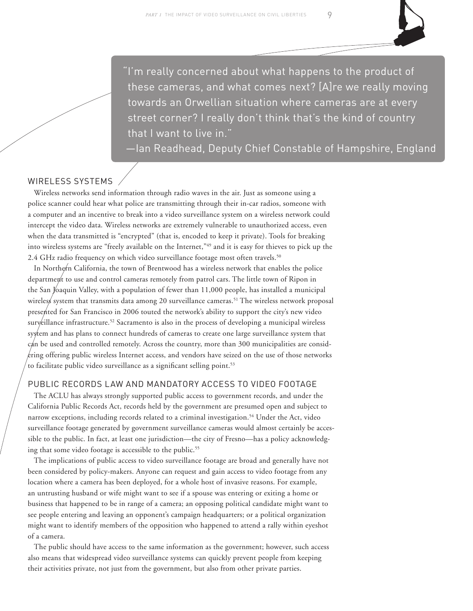"I'm really concerned about what happens to the product of these cameras, and what comes next? [A]re we really moving towards an Orwellian situation where cameras are at every street corner? I really don't think that's the kind of country that I want to live in."

—Ian Readhead, Deputy Chief Constable of Hampshire, England

#### Wireless Systems

Wireless networks send information through radio waves in the air. Just as someone using a police scanner could hear what police are transmitting through their in-car radios, someone with a computer and an incentive to break into a video surveillance system on a wireless network could intercept the video data. Wireless networks are extremely vulnerable to unauthorized access, even when the data transmitted is "encrypted" (that is, encoded to keep it private). Tools for breaking into wireless systems are "freely available on the Internet,"49 and it is easy for thieves to pick up the 2.4 GHz radio frequency on which video surveillance footage most often travels.<sup>50</sup>

In Northern California, the town of Brentwood has a wireless network that enables the police department to use and control cameras remotely from patrol cars. The little town of Ripon in the San Joaquin Valley, with a population of fewer than 11,000 people, has installed a municipal wireless system that transmits data among 20 surveillance cameras.<sup>51</sup> The wireless network proposal presented for San Francisco in 2006 touted the network's ability to support the city's new video suryeillance infrastructure.<sup>52</sup> Sacramento is also in the process of developing a municipal wireless system and has plans to connect hundreds of cameras to create one large surveillance system that can be used and controlled remotely. Across the country, more than 300 municipalities are considering offering public wireless Internet access, and vendors have seized on the use of those networks to facilitate public video surveillance as a significant selling point.<sup>53</sup>

#### Public Records Law and Mandatory Access to Video Footage

The ACLU has always strongly supported public access to government records, and under the California Public Records Act, records held by the government are presumed open and subject to narrow exceptions, including records related to a criminal investigation.54 Under the Act, video surveillance footage generated by government surveillance cameras would almost certainly be accessible to the public. In fact, at least one jurisdiction—the city of Fresno—has a policy acknowledging that some video footage is accessible to the public.<sup>55</sup>

The implications of public access to video surveillance footage are broad and generally have not been considered by policy-makers. Anyone can request and gain access to video footage from any location where a camera has been deployed, for a whole host of invasive reasons. For example, an untrusting husband or wife might want to see if a spouse was entering or exiting a home or business that happened to be in range of a camera; an opposing political candidate might want to see people entering and leaving an opponent's campaign headquarters; or a political organization might want to identify members of the opposition who happened to attend a rally within eyeshot of a camera.

The public should have access to the same information as the government; however, such access also means that widespread video surveillance systems can quickly prevent people from keeping their activities private, not just from the government, but also from other private parties.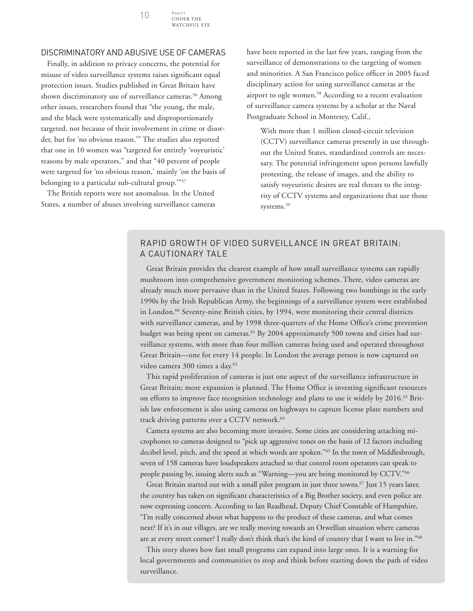Report Under the WATCHEUL EVE

#### Discriminatory and Abusive Use of Cameras

Finally, in addition to privacy concerns, the potential for misuse of video surveillance systems raises significant equal protection issues. Studies published in Great Britain have shown discriminatory use of surveillance cameras.<sup>56</sup> Among other issues, researchers found that "the young, the male, and the black were systematically and disproportionately targeted, not because of their involvement in crime or disorder, but for 'no obvious reason.'" The studies also reported that one in 10 women was "targeted for entirely 'voyeuristic' reasons by male operators," and that "40 percent of people were targeted for 'no obvious reason,' mainly 'on the basis of belonging to a particular sub-cultural group."57

The British reports were not anomalous. In the United States, a number of abuses involving surveillance cameras have been reported in the last few years, ranging from the surveillance of demonstrations to the targeting of women and minorities. A San Francisco police officer in 2005 faced disciplinary action for using surveillance cameras at the airport to ogle women.58 According to a recent evaluation of surveillance camera systems by a scholar at the Naval Postgraduate School in Monterey, Calif.,

With more than 1 million closed-circuit television (CCTV) surveillance cameras presently in use throughout the United States, standardized controls are necessary. The potential infringement upon persons lawfully protesting, the release of images, and the ability to satisfy voyeuristic desires are real threats to the integrity of CCTV systems and organizations that use those systems.<sup>59</sup>

#### Rapid Growth of Video Surveillance in Great Britain: A Cautionary Tale

Great Britain provides the clearest example of how small surveillance systems can rapidly mushroom into comprehensive government monitoring schemes. There, video cameras are already much more pervasive than in the United States. Following two bombings in the early 1990s by the Irish Republican Army, the beginnings of a surveillance system were established in London.<sup>60</sup> Seventy-nine British cities, by 1994, were monitoring their central districts with surveillance cameras, and by 1998 three-quarters of the Home Office's crime prevention budget was being spent on cameras.<sup>61</sup> By 2004 approximately 500 towns and cities had surveillance systems, with more than four million cameras being used and operated throughout Great Britain—one for every 14 people. In London the average person is now captured on video camera 300 times a day.<sup>62</sup>

This rapid proliferation of cameras is just one aspect of the surveillance infrastructure in Great Britain; more expansion is planned. The Home Office is investing significant resources on efforts to improve face recognition technology and plans to use it widely by 2016.<sup>63</sup> British law enforcement is also using cameras on highways to capture license plate numbers and track driving patterns over a CCTV network.<sup>64</sup>

Camera systems are also becoming more invasive. Some cities are considering attaching microphones to cameras designed to "pick up aggressive tones on the basis of 12 factors including decibel level, pitch, and the speed at which words are spoken."<sup>65</sup> In the town of Middlesbrough, seven of 158 cameras have loudspeakers attached so that control room operators can speak to people passing by, issuing alerts such as "Warning—you are being monitored by CCTV."66

Great Britain started out with a small pilot program in just three towns.<sup>67</sup> Just 15 years later, the country has taken on significant characteristics of a Big Brother society, and even police are now expressing concern. According to Ian Readhead, Deputy Chief Constable of Hampshire, "I'm really concerned about what happens to the product of these cameras, and what comes next? If it's in our villages, are we really moving towards an Orwellian situation where cameras are at every street corner? I really don't think that's the kind of country that I want to live in."<sup>68</sup>

This story shows how fast small programs can expand into large ones. It is a warning for local governments and communities to stop and think before starting down the path of video surveillance.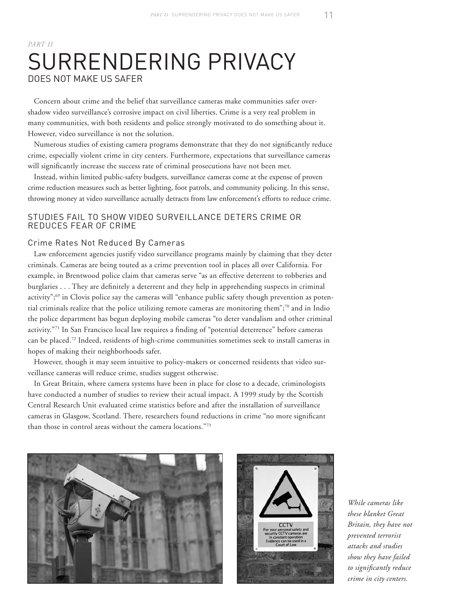### *Part II* Surrendering Privacy Does Not Make Us Safer

Concern about crime and the belief that surveillance cameras make communities safer overshadow video surveillance's corrosive impact on civil liberties. Crime is a very real problem in many communities, with both residents and police strongly motivated to do something about it. However, video surveillance is not the solution.

Numerous studies of existing camera programs demonstrate that they do not significantly reduce crime, especially violent crime in city centers. Furthermore, expectations that surveillance cameras will significantly increase the success rate of criminal prosecutions have not been met.

Instead, within limited public-safety budgets, surveillance cameras come at the expense of proven crime reduction measures such as better lighting, foot patrols, and community policing. In this sense, throwing money at video surveillance actually detracts from law enforcement's efforts to reduce crime.

#### Studies Fail to Show Video Surveillance Deters Crime or Reduces Fear of Crime

#### Crime Rates Not Reduced By Cameras

Law enforcement agencies justify video surveillance programs mainly by claiming that they deter criminals. Cameras are being touted as a crime prevention tool in places all over California. For example, in Brentwood police claim that cameras serve "as an effective deterrent to robberies and burglaries . . . They are definitely a deterrent and they help in apprehending suspects in criminal activity";<sup>69</sup> in Clovis police say the cameras will "enhance public safety though prevention as potential criminals realize that the police utilizing remote cameras are monitoring them";70 and in Indio the police department has begun deploying mobile cameras "to deter vandalism and other criminal activity."71 In San Francisco local law requires a finding of "potential deterrence" before cameras can be placed.72 Indeed, residents of high-crime communities sometimes seek to install cameras in hopes of making their neighborhoods safer.

However, though it may seem intuitive to policy-makers or concerned residents that video surveillance cameras will reduce crime, studies suggest otherwise.

In Great Britain, where camera systems have been in place for close to a decade, criminologists have conducted a number of studies to review their actual impact. A 1999 study by the Scottish Central Research Unit evaluated crime statistics before and after the installation of surveillance cameras in Glasgow, Scotland. There, researchers found reductions in crime "no more significant than those in control areas without the camera locations."73





*While cameras like these blanket Great Britain, they have not prevented terrorist attacks and studies show they have failed to significantly reduce crime in city centers.*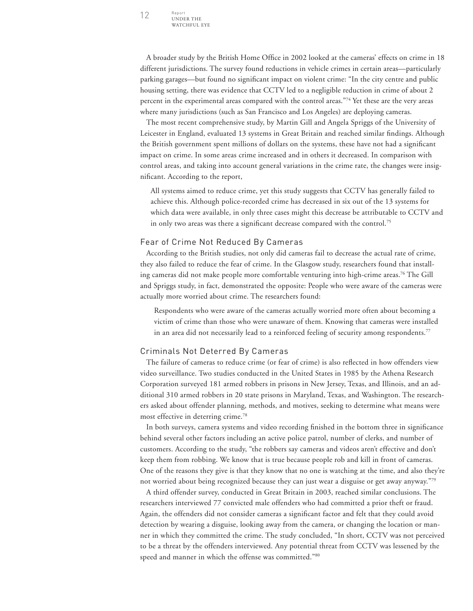Report

A broader study by the British Home Office in 2002 looked at the cameras' effects on crime in 18 different jurisdictions. The survey found reductions in vehicle crimes in certain areas—particularly parking garages—but found no significant impact on violent crime: "In the city centre and public housing setting, there was evidence that CCTV led to a negligible reduction in crime of about 2 percent in the experimental areas compared with the control areas."<sup>74</sup> Yet these are the very areas where many jurisdictions (such as San Francisco and Los Angeles) are deploying cameras.

The most recent comprehensive study, by Martin Gill and Angela Spriggs of the University of Leicester in England, evaluated 13 systems in Great Britain and reached similar findings. Although the British government spent millions of dollars on the systems, these have not had a significant impact on crime. In some areas crime increased and in others it decreased. In comparison with control areas, and taking into account general variations in the crime rate, the changes were insignificant. According to the report,

All systems aimed to reduce crime, yet this study suggests that CCTV has generally failed to achieve this. Although police-recorded crime has decreased in six out of the 13 systems for which data were available, in only three cases might this decrease be attributable to CCTV and in only two areas was there a significant decrease compared with the control.<sup>75</sup>

#### Fear of Crime Not Reduced By Cameras

According to the British studies, not only did cameras fail to decrease the actual rate of crime, they also failed to reduce the fear of crime. In the Glasgow study, researchers found that installing cameras did not make people more comfortable venturing into high-crime areas.76 The Gill and Spriggs study, in fact, demonstrated the opposite: People who were aware of the cameras were actually more worried about crime. The researchers found:

Respondents who were aware of the cameras actually worried more often about becoming a victim of crime than those who were unaware of them. Knowing that cameras were installed in an area did not necessarily lead to a reinforced feeling of security among respondents.<sup>77</sup>

#### Criminals Not Deterred By Cameras

The failure of cameras to reduce crime (or fear of crime) is also reflected in how offenders view video surveillance. Two studies conducted in the United States in 1985 by the Athena Research Corporation surveyed 181 armed robbers in prisons in New Jersey, Texas, and Illinois, and an additional 310 armed robbers in 20 state prisons in Maryland, Texas, and Washington. The researchers asked about offender planning, methods, and motives, seeking to determine what means were most effective in deterring crime.<sup>78</sup>

In both surveys, camera systems and video recording finished in the bottom three in significance behind several other factors including an active police patrol, number of clerks, and number of customers. According to the study, "the robbers say cameras and videos aren't effective and don't keep them from robbing. We know that is true because people rob and kill in front of cameras. One of the reasons they give is that they know that no one is watching at the time, and also they're not worried about being recognized because they can just wear a disguise or get away anyway."<sup>79</sup>

A third offender survey, conducted in Great Britain in 2003, reached similar conclusions. The researchers interviewed 77 convicted male offenders who had committed a prior theft or fraud. Again, the offenders did not consider cameras a significant factor and felt that they could avoid detection by wearing a disguise, looking away from the camera, or changing the location or manner in which they committed the crime. The study concluded, "In short, CCTV was not perceived to be a threat by the offenders interviewed. Any potential threat from CCTV was lessened by the speed and manner in which the offense was committed."80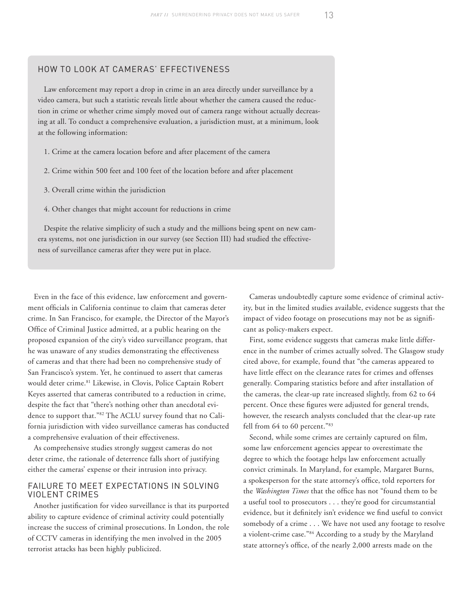#### How to Look at Cameras' Effectiveness

Law enforcement may report a drop in crime in an area directly under surveillance by a video camera, but such a statistic reveals little about whether the camera caused the reduction in crime or whether crime simply moved out of camera range without actually decreasing at all. To conduct a comprehensive evaluation, a jurisdiction must, at a minimum, look at the following information:

- 1. Crime at the camera location before and after placement of the camera
- 2. Crime within 500 feet and 100 feet of the location before and after placement
- 3. Overall crime within the jurisdiction
- 4. Other changes that might account for reductions in crime

Despite the relative simplicity of such a study and the millions being spent on new camera systems, not one jurisdiction in our survey (see Section III) had studied the effectiveness of surveillance cameras after they were put in place.

Even in the face of this evidence, law enforcement and government officials in California continue to claim that cameras deter crime. In San Francisco, for example, the Director of the Mayor's Office of Criminal Justice admitted, at a public hearing on the proposed expansion of the city's video surveillance program, that he was unaware of any studies demonstrating the effectiveness of cameras and that there had been no comprehensive study of San Francisco's system. Yet, he continued to assert that cameras would deter crime.<sup>81</sup> Likewise, in Clovis, Police Captain Robert Keyes asserted that cameras contributed to a reduction in crime, despite the fact that "there's nothing other than anecdotal evidence to support that."82 The ACLU survey found that no California jurisdiction with video surveillance cameras has conducted a comprehensive evaluation of their effectiveness.

As comprehensive studies strongly suggest cameras do not deter crime, the rationale of deterrence falls short of justifying either the cameras' expense or their intrusion into privacy.

#### Failure to Meet Expectations in Solving Violent Crimes

Another justification for video surveillance is that its purported ability to capture evidence of criminal activity could potentially increase the success of criminal prosecutions. In London, the role of CCTV cameras in identifying the men involved in the 2005 terrorist attacks has been highly publicized.

Cameras undoubtedly capture some evidence of criminal activity, but in the limited studies available, evidence suggests that the impact of video footage on prosecutions may not be as significant as policy-makers expect.

First, some evidence suggests that cameras make little difference in the number of crimes actually solved. The Glasgow study cited above, for example, found that "the cameras appeared to have little effect on the clearance rates for crimes and offenses generally. Comparing statistics before and after installation of the cameras, the clear-up rate increased slightly, from 62 to 64 percent. Once these figures were adjusted for general trends, however, the research analysts concluded that the clear-up rate fell from 64 to 60 percent."83

Second, while some crimes are certainly captured on film, some law enforcement agencies appear to overestimate the degree to which the footage helps law enforcement actually convict criminals. In Maryland, for example, Margaret Burns, a spokesperson for the state attorney's office, told reporters for the *Washington Times* that the office has not "found them to be a useful tool to prosecutors . . . they're good for circumstantial evidence, but it definitely isn't evidence we find useful to convict somebody of a crime . . . We have not used any footage to resolve a violent-crime case."84 According to a study by the Maryland state attorney's office, of the nearly 2,000 arrests made on the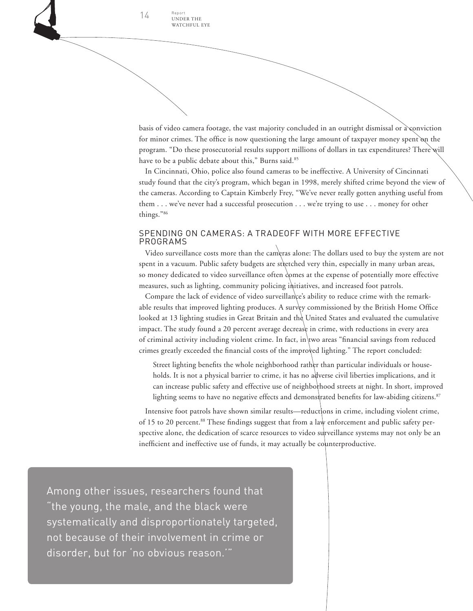Under the Watchful Eye

Report

basis of video camera footage, the vast majority concluded in an outright dismissal or a conviction for minor crimes. The office is now questioning the large amount of taxpayer money spent on the program. "Do these prosecutorial results support millions of dollars in tax expenditures? There will have to be a public debate about this," Burns said.<sup>85</sup>

In Cincinnati, Ohio, police also found cameras to be ineffective. A University of Cincinnati study found that the city's program, which began in 1998, merely shifted crime beyond the view of the cameras. According to Captain Kimberly Frey, "We've never really gotten anything useful from them . . . we've never had a successful prosecution . . . we're trying to use . . . money for other things."86

#### Spending on Cameras: A Tradeoff with More Effective Programs

Video surveillance costs more than the cameras alone: The dollars used to buy the system are not spent in a vacuum. Public safety budgets are stretched very thin, especially in many urban areas, so money dedicated to video surveillance often comes at the expense of potentially more effective measures, such as lighting, community policing initiatives, and increased foot patrols.

Compare the lack of evidence of video surveillance's ability to reduce crime with the remarkable results that improved lighting produces. A survey commissioned by the British Home Office looked at 13 lighting studies in Great Britain and the United States and evaluated the cumulative impact. The study found a 20 percent average decrease in crime, with reductions in every area of criminal activity including violent crime. In fact, in two areas "financial savings from reduced crimes greatly exceeded the financial costs of the improved lighting." The report concluded:

Street lighting benefits the whole neighborhood rather than particular individuals or households. It is not a physical barrier to crime, it has no adverse civil liberties implications, and it can increase public safety and effective use of neighborhood streets at night. In short, improved lighting seems to have no negative effects and demonstrated benefits for law-abiding citizens.<sup>87</sup>

Intensive foot patrols have shown similar results—reductions in crime, including violent crime, of 15 to 20 percent.88 These findings suggest that from a law enforcement and public safety perspective alone, the dedication of scarce resources to video surveillance systems may not only be an inefficient and ineffective use of funds, it may actually be counterproductive.

Among other issues, researchers found that "the young, the male, and the black were systematically and disproportionately targeted, not because of their involvement in crime or disorder, but for 'no obvious reason.'"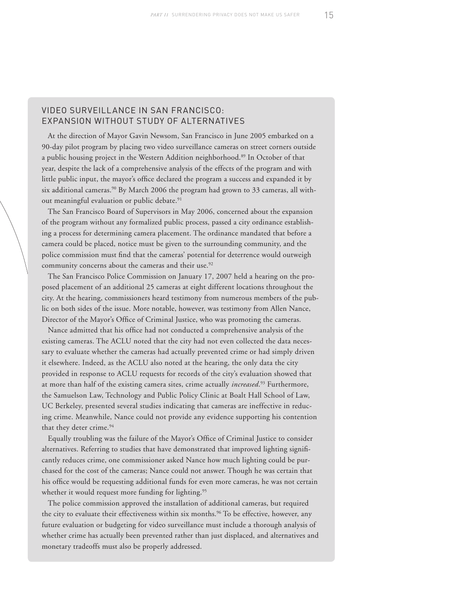#### Video Surveillance in San Francisco: Expansion without Study of Alternatives

At the direction of Mayor Gavin Newsom, San Francisco in June 2005 embarked on a 90-day pilot program by placing two video surveillance cameras on street corners outside a public housing project in the Western Addition neighborhood.89 In October of that year, despite the lack of a comprehensive analysis of the effects of the program and with little public input, the mayor's office declared the program a success and expanded it by six additional cameras.<sup>90</sup> By March 2006 the program had grown to 33 cameras, all without meaningful evaluation or public debate.<sup>91</sup>

The San Francisco Board of Supervisors in May 2006, concerned about the expansion of the program without any formalized public process, passed a city ordinance establishing a process for determining camera placement. The ordinance mandated that before a camera could be placed, notice must be given to the surrounding community, and the police commission must find that the cameras' potential for deterrence would outweigh community concerns about the cameras and their use.<sup>92</sup>

The San Francisco Police Commission on January 17, 2007 held a hearing on the proposed placement of an additional 25 cameras at eight different locations throughout the city. At the hearing, commissioners heard testimony from numerous members of the public on both sides of the issue. More notable, however, was testimony from Allen Nance, Director of the Mayor's Office of Criminal Justice, who was promoting the cameras.

Nance admitted that his office had not conducted a comprehensive analysis of the existing cameras. The ACLU noted that the city had not even collected the data necessary to evaluate whether the cameras had actually prevented crime or had simply driven it elsewhere. Indeed, as the ACLU also noted at the hearing, the only data the city provided in response to ACLU requests for records of the city's evaluation showed that at more than half of the existing camera sites, crime actually *increased*. <sup>93</sup> Furthermore, the Samuelson Law, Technology and Public Policy Clinic at Boalt Hall School of Law, UC Berkeley, presented several studies indicating that cameras are ineffective in reducing crime. Meanwhile, Nance could not provide any evidence supporting his contention that they deter crime.<sup>94</sup>

Equally troubling was the failure of the Mayor's Office of Criminal Justice to consider alternatives. Referring to studies that have demonstrated that improved lighting significantly reduces crime, one commissioner asked Nance how much lighting could be purchased for the cost of the cameras; Nance could not answer. Though he was certain that his office would be requesting additional funds for even more cameras, he was not certain whether it would request more funding for lighting.<sup>95</sup>

The police commission approved the installation of additional cameras, but required the city to evaluate their effectiveness within six months.<sup>96</sup> To be effective, however, any future evaluation or budgeting for video surveillance must include a thorough analysis of whether crime has actually been prevented rather than just displaced, and alternatives and monetary tradeoffs must also be properly addressed.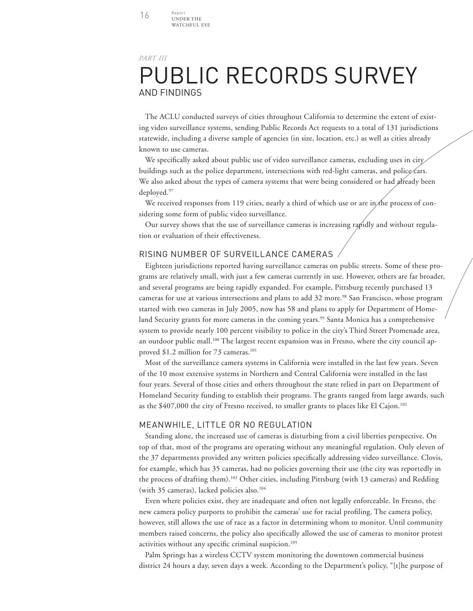Under the WATCHFUL EYE

Report

#### *Part III*

## Public Records Survey and Findings

The ACLU conducted surveys of cities throughout California to determine the extent of existing video surveillance systems, sending Public Records Act requests to a total of 131 jurisdictions statewide, including a diverse sample of agencies (in size, location, etc.) as well as cities already known to use cameras.

We specifically asked about public use of video surveillance cameras, excluding uses in city buildings such as the police department, intersections with red-light cameras, and police  $\epsilon$ ars. We also asked about the types of camera systems that were being considered or had already been deployed.97

We received responses from 119 cities, nearly a third of which use or are in the process of considering some form of public video surveillance.

Our survey shows that the use of surveillance cameras is increasing rapidly and without regulation or evaluation of their effectiveness.

#### Rising Number of Surveillance Cameras

Eighteen jurisdictions reported having surveillance cameras on public streets. Some of these programs are relatively small, with just a few cameras currently in use. However, others are far broader, and several programs are being rapidly expanded. For example, Pittsburg recently purchased 13 cameras for use at various intersections and plans to add 32 more.<sup>98</sup> San Francisco, whose program started with two cameras in July 2005, now has 58 and plans to apply for Department of Homeland Security grants for more cameras in the coming years.<sup>99</sup> Santa Monica has a comprehensive system to provide nearly 100 percent visibility to police in the city's Third Street Promenade area, an outdoor public mall.<sup>100</sup> The largest recent expansion was in Fresno, where the city council approved \$1.2 million for 73 cameras.<sup>101</sup>

Most of the surveillance camera systems in California were installed in the last few years. Seven of the 10 most extensive systems in Northern and Central California were installed in the last four years. Several of those cities and others throughout the state relied in part on Department of Homeland Security funding to establish their programs. The grants ranged from large awards, such as the \$407,000 the city of Fresno received, to smaller grants to places like El Cajon.<sup>102</sup>

#### Meanwhile, Little or No Regulation

Standing alone, the increased use of cameras is disturbing from a civil liberties perspective. On top of that, most of the programs are operating without any meaningful regulation. Only eleven of the 37 departments provided any written policies specifically addressing video surveillance. Clovis, for example, which has 35 cameras, had no policies governing their use (the city was reportedly in the process of drafting them).103 Other cities, including Pittsburg (with 13 cameras) and Redding (with 35 cameras), lacked policies also.<sup>104</sup>

Even where policies exist, they are inadequate and often not legally enforceable. In Fresno, the new camera policy purports to prohibit the cameras' use for racial profiling. The camera policy, however, still allows the use of race as a factor in determining whom to monitor. Until community members raised concerns, the policy also specifically allowed the use of cameras to monitor protest activities without any specific criminal suspicion.<sup>105</sup>

Palm Springs has a wireless CCTV system monitoring the downtown commercial business district 24 hours a day, seven days a week. According to the Department's policy, "[t]he purpose of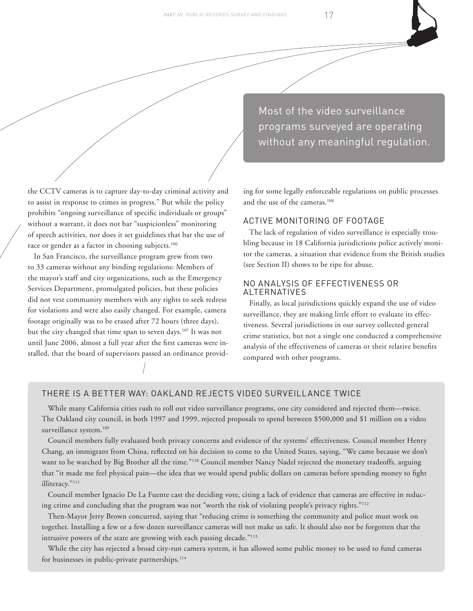the CCTV cameras is to capture day-to-day criminal activity and to assist in response to crimes in progress." But while the policy prohibits "ongoing surveillance of specific individuals or groups" without a warrant, it does not bar "suspicionless" monitoring of speech activities, nor does it set guidelines that bar the use of race or gender as a factor in choosing subjects.<sup>106</sup>

In San Francisco, the surveillance program grew from two to 33 cameras without any binding regulations: Members of the mayor's staff and city organizations, such as the Emergency Services Department, promulgated policies, but these policies did not vest community members with any rights to seek redress for violations and were also easily changed. For example, camera footage originally was to be erased after 72 hours (three days), but the city changed that time span to seven days.<sup>107</sup> It was not until June 2006, almost a full year after the first cameras were installed, that the board of supervisors passed an ordinance provid-

Most of the video surveillance programs surveyed are operating without any meaningful regulation.

ing for some legally enforceable regulations on public processes and the use of the cameras.108

#### Active Monitoring of Footage

The lack of regulation of video surveillance is especially troubling because in 18 California jurisdictions police actively monitor the cameras, a situation that evidence from the British studies (see Section II) shows to be ripe for abuse.

#### No Analysis of Effectiveness or Alternatives

Finally, as local jurisdictions quickly expand the use of video surveillance, they are making little effort to evaluate its effectiveness. Several jurisdictions in our survey collected general crime statistics, but not a single one conducted a comprehensive analysis of the effectiveness of cameras or their relative benefits compared with other programs.

#### There is a Better Way: Oakland Rejects Video Surveillance Twice

While many California cities rush to roll out video surveillance programs, one city considered and rejected them—twice. The Oakland city council, in both 1997 and 1999, rejected proposals to spend between \$500,000 and \$1 million on a video surveillance system.<sup>109</sup>

Council members fully evaluated both privacy concerns and evidence of the systems' effectiveness. Council member Henry Chang, an immigrant from China, reflected on his decision to come to the United States, saying, "We came because we don't want to be watched by Big Brother all the time."110 Council member Nancy Nadel rejected the monetary tradeoffs, arguing that "it made me feel physical pain—the idea that we would spend public dollars on cameras before spending money to fight illiteracy."<sup>111</sup>

Council member Ignacio De La Fuente cast the deciding vote, citing a lack of evidence that cameras are effective in reducing crime and concluding that the program was not "worth the risk of violating people's privacy rights."112

Then-Mayor Jerry Brown concurred, saying that "reducing crime is something the community and police must work on together. Installing a few or a few dozen surveillance cameras will not make us safe. It should also not be forgotten that the intrusive powers of the state are growing with each passing decade."113

While the city has rejected a broad city-run camera system, it has allowed some public money to be used to fund cameras for businesses in public-private partnerships.<sup>114</sup>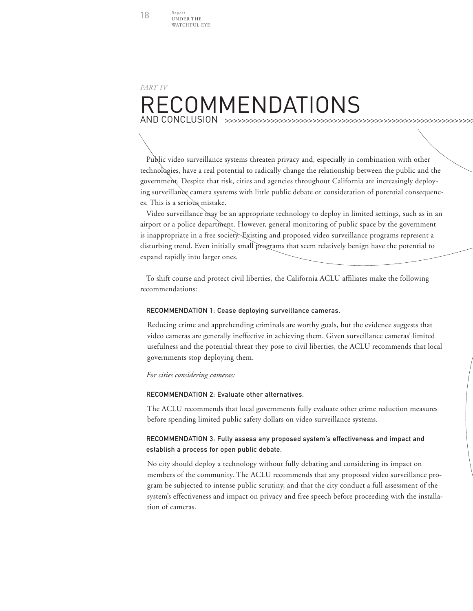Under the WATCHELLL EVE

Report

#### >>>>>>>>>>>>>>>>>>>>>>>>>>>>>>>>>>>>>>>>>>>>>>>>>>>>>>>>>>>>>>>>>>>>>>>>>>>>>>>>>>>>>>>>>>>>>>>>>>>>>>>>>>>>>>>>>>>>>>>>>>>>>>>>>>>>>>>>>>>>>>>>>>>>>>>>>>>>>>>>>>>> *Part IV* **ECOMMENDATIONS** and Conclusion

Public video surveillance systems threaten privacy and, especially in combination with other technologies, have a real potential to radically change the relationship between the public and the government. Despite that risk, cities and agencies throughout California are increasingly deploying surveillance camera systems with little public debate or consideration of potential consequences. This is a serious mistake.

Video surveillance may be an appropriate technology to deploy in limited settings, such as in an airport or a police department. However, general monitoring of public space by the government is inappropriate in a free society. Existing and proposed video surveillance programs represent a disturbing trend. Even initially small programs that seem relatively benign have the potential to expand rapidly into larger ones.

To shift course and protect civil liberties, the California ACLU affiliates make the following recommendations:

#### Recommendation 1: Cease deploying surveillance cameras.

Reducing crime and apprehending criminals are worthy goals, but the evidence suggests that video cameras are generally ineffective in achieving them. Given surveillance cameras' limited usefulness and the potential threat they pose to civil liberties, the ACLU recommends that local governments stop deploying them.

*For cities considering cameras:*

#### Recommendation 2: Evaluate other alternatives.

The ACLU recommends that local governments fully evaluate other crime reduction measures before spending limited public safety dollars on video surveillance systems.

#### Recommendation 3: Fully assess any proposed system's effectiveness and impact and establish a process for open public debate.

No city should deploy a technology without fully debating and considering its impact on members of the community. The ACLU recommends that any proposed video surveillance program be subjected to intense public scrutiny, and that the city conduct a full assessment of the system's effectiveness and impact on privacy and free speech before proceeding with the installation of cameras.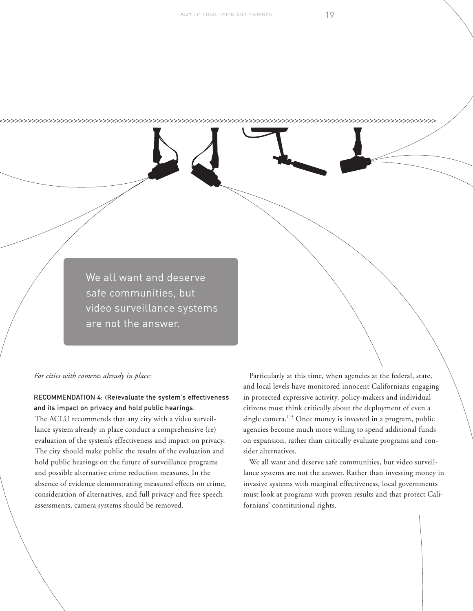We all want and deserve safe communities, but video surveillance systems are not the answer.

*For cities with cameras already in place:*

>>>>>>>>>>>>>>>>>>>>>>>>>>>>>>>>>>>>>>>>>>>>>>>>>>>>>>>>>>>>>>>>>>>>>>>>>>>>>>>>>>>>>>>>>>>>>>>>>>>>>>>>>>>>>>>>>>>>>>>>>>>>>>>>>>>>>>>>>>>>>>>>>>>>>>>>>>>>>>>>>>>>

#### Recommendation 4: (Re)evaluate the system's effectiveness and its impact on privacy and hold public hearings.

The ACLU recommends that any city with a video surveillance system already in place conduct a comprehensive (re) evaluation of the system's effectiveness and impact on privacy. The city should make public the results of the evaluation and hold public hearings on the future of surveillance programs and possible alternative crime reduction measures. In the absence of evidence demonstrating measured effects on crime, consideration of alternatives, and full privacy and free speech assessments, camera systems should be removed.

Particularly at this time, when agencies at the federal, state, and local levels have monitored innocent Californians engaging in protected expressive activity, policy-makers and individual citizens must think critically about the deployment of even a single camera.<sup>115</sup> Once money is invested in a program, public agencies become much more willing to spend additional funds on expansion, rather than critically evaluate programs and consider alternatives.

We all want and deserve safe communities, but video surveillance systems are not the answer. Rather than investing money in invasive systems with marginal effectiveness, local governments must look at programs with proven results and that protect Californians' constitutional rights.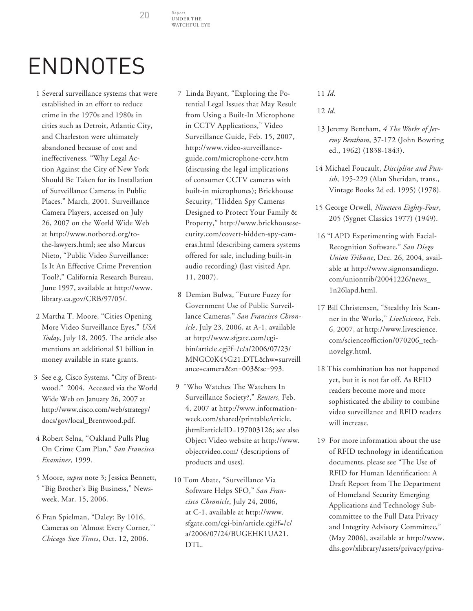Under the WATCHELLL EVE

Report

## **ENDNOTES**

- 1 Several surveillance systems that were established in an effort to reduce crime in the 1970s and 1980s in cities such as Detroit, Atlantic City, and Charleston were ultimately abandoned because of cost and ineffectiveness. "Why Legal Action Against the City of New York Should Be Taken for its Installation of Surveillance Cameras in Public Places." March, 2001. Surveillance Camera Players, accessed on July 26, 2007 on the World Wide Web at http://www.notbored.org/tothe-lawyers.html; see also Marcus Nieto, "Public Video Surveillance: Is It An Effective Crime Prevention Tool?," California Research Bureau, June 1997, available at http://www. library.ca.gov/CRB/97/05/.
- 2 Martha T. Moore, "Cities Opening More Video Surveillance Eyes," *USA Today*, July 18, 2005. The article also mentions an additional \$1 billion in money available in state grants.
- 3 See e.g. Cisco Systems. "City of Brentwood." 2004. Accessed via the World Wide Web on January 26, 2007 at http://www.cisco.com/web/strategy/ docs/gov/local\_Brentwood.pdf.
- 4 Robert Selna, "Oakland Pulls Plug On Crime Cam Plan," *San Francisco Examiner*, 1999.
- 5 Moore, *supra* note 3; Jessica Bennett, "Big Brother's Big Business," Newsweek, Mar. 15, 2006.
- 6 Fran Spielman, "Daley: By 1016, Cameras on 'Almost Every Corner,'" *Chicago Sun Times*, Oct. 12, 2006.
- 7 Linda Bryant, "Exploring the Potential Legal Issues that May Result from Using a Built-In Microphone in CCTV Applications," Video Surveillance Guide, Feb. 15, 2007, http://www.video-surveillanceguide.com/microphone-cctv.htm (discussing the legal implications of consumer CCTV cameras with built-in microphones); Brickhouse Security, "Hidden Spy Cameras Designed to Protect Your Family & Property," http://www.brickhousesecurity.com/covert-hidden-spy-cameras.html (describing camera systems offered for sale, including built-in audio recording) (last visited Apr. 11, 2007).
- 8 Demian Bulwa, "Future Fuzzy for Government Use of Public Surveillance Cameras," *San Francisco Chronicle*, July 23, 2006, at A-1, available at http://www.sfgate.com/cgibin/article.cgi?f=/c/a/2006/07/23/ MNGC0K45G21.DTL&hw=surveill ance+camera&sn=003&sc=993.
- 9 "Who Watches The Watchers In Surveillance Society?," *Reuters*, Feb. 4, 2007 at http://www.informationweek.com/shared/printableArticle. jhtml?articleID=197003126; see also Object Video website at http://www. objectvideo.com/ (descriptions of products and uses).
- 10 Tom Abate, "Surveillance Via Software Helps SFO," *San Francisco Chronicle*, July 24, 2006, at C-1, available at http://www. sfgate.com/cgi-bin/article.cgi?f=/c/ a/2006/07/24/BUGEHK1UA21. DTL.

11 *Id*.

- 12 *Id*.
- 13 Jeremy Bentham, *4 The Works of Jeremy Bentham*, 37-172 (John Bowring ed., 1962) (1838-1843).
- 14 Michael Foucault, *Discipline and Punish*, 195-229 (Alan Sheridan, trans., Vintage Books 2d ed. 1995) (1978).
- 15 George Orwell, *Nineteen Eighty-Four*, 205 (Sygnet Classics 1977) (1949).
- 16 "LAPD Experimenting with Facial-Recognition Software," *San Diego Union Tribune*, Dec. 26, 2004, available at http://www.signonsandiego. com/uniontrib/20041226/news\_ 1n26lapd.html.
- 17 Bill Christensen, "Stealthy Iris Scanner in the Works," *LiveScience*, Feb. 6, 2007, at http://www.livescience. com/scienceoffiction/070206\_technovelgy.html.
- 18 This combination has not happened yet, but it is not far off. As RFID readers become more and more sophisticated the ability to combine video surveillance and RFID readers will increase.
- 19 For more information about the use of RFID technology in identification documents, please see "The Use of RFID for Human Identification: A Draft Report from The Department of Homeland Security Emerging Applications and Technology Subcommittee to the Full Data Privacy and Integrity Advisory Committee," (May 2006), available at http://www. dhs.gov/xlibrary/assets/privacy/priva-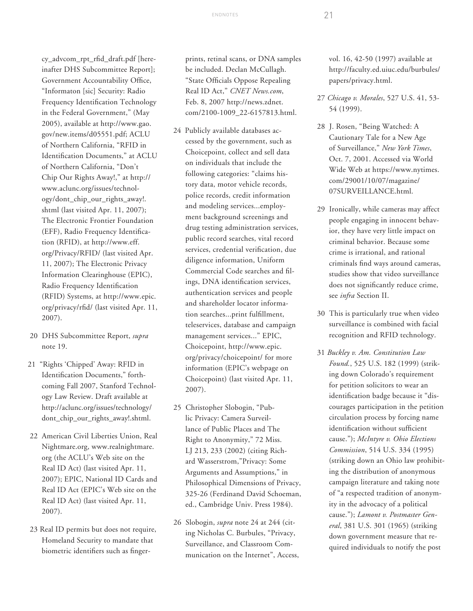cy\_advcom\_rpt\_rfid\_draft.pdf [hereinafter DHS Subcommittee Report]; Government Accountability Office, "Informaton [sic] Security: Radio Frequency Identification Technology in the Federal Government," (May 2005), available at http://www.gao. gov/new.items/d05551.pdf; ACLU of Northern California, "RFID in Identification Documents," at ACLU of Northern California, "Don't Chip Our Rights Away!," at http:// www.aclunc.org/issues/technology/dont\_chip\_our\_rights\_away!. shtml (last visited Apr. 11, 2007); The Electronic Frontier Foundation (EFF), Radio Frequency Identification (RFID), at http://www.eff. org/Privacy/RFID/ (last visited Apr. 11, 2007); The Electronic Privacy Information Clearinghouse (EPIC), Radio Frequency Identification (RFID) Systems, at http://www.epic. org/privacy/rfid/ (last visited Apr. 11, 2007).

- 20 DHS Subcommittee Report, *supra* note 19.
- 21 "Rights 'Chipped' Away: RFID in Identification Documents," forthcoming Fall 2007, Stanford Technology Law Review. Draft available at http://aclunc.org/issues/technology/ dont\_chip\_our\_rights\_away!.shtml.
- 22 American Civil Liberties Union, Real Nightmare.org, www.realnightmare. org (the ACLU's Web site on the Real ID Act) (last visited Apr. 11, 2007); EPIC, National ID Cards and Real ID Act (EPIC's Web site on the Real ID Act) (last visited Apr. 11, 2007).
- 23 Real ID permits but does not require, Homeland Security to mandate that biometric identifiers such as finger-

prints, retinal scans, or DNA samples be included. Declan McCullagh. "State Officials Oppose Repealing Real ID Act," *CNET News.com*, Feb. 8, 2007 http://news.zdnet. com/2100-1009\_22-6157813.html.

- 24 Publicly available databases accessed by the government, such as Choicepoint, collect and sell data on individuals that include the following categories: "claims history data, motor vehicle records, police records, credit information and modeling services...employment background screenings and drug testing administration services, public record searches, vital record services, credential verification, due diligence information, Uniform Commercial Code searches and filings, DNA identification services, authentication services and people and shareholder locator information searches...print fulfillment, teleservices, database and campaign management services..." EPIC, Choicepoint, http://www.epic. org/privacy/choicepoint/ for more information (EPIC's webpage on Choicepoint) (last visited Apr. 11, 2007).
- 25 Christopher Slobogin, "Public Privacy: Camera Surveillance of Public Places and The Right to Anonymity," 72 Miss. LJ 213, 233 (2002) (citing Richard Wasserstrom,"Privacy: Some Arguments and Assumptions," in Philosophical Dimensions of Privacy, 325-26 (Ferdinand David Schoeman, ed., Cambridge Univ. Press 1984).
- 26 Slobogin, *supra* note 24 at 244 (citing Nicholas C. Burbules, "Privacy, Surveillance, and Classroom Communication on the Internet", Access,

vol. 16, 42-50 (1997) available at http://faculty.ed.uiuc.edu/burbules/ papers/privacy.html.

- 27 *Chicago v. Morales*, 527 U.S. 41, 53- 54 (1999).
- 28 J. Rosen, "Being Watched: A Cautionary Tale for a New Age of Surveillance," *New York Times*, Oct. 7, 2001. Accessed via World Wide Web at https://www.nytimes. com/29001/10/07/magazine/ 07SURVEILLANCE.html.
- 29 Ironically, while cameras may affect people engaging in innocent behavior, they have very little impact on criminal behavior. Because some crime is irrational, and rational criminals find ways around cameras, studies show that video surveillance does not significantly reduce crime, see *infra* Section II.
- 30 This is particularly true when video surveillance is combined with facial recognition and RFID technology.
- 31 *Buckley v. Am. Constitution Law Found.*, 525 U.S. 182 (1999) (striking down Colorado's requirement for petition solicitors to wear an identification badge because it "discourages participation in the petition circulation process by forcing name identification without sufficient cause."); *McIntyre v. Ohio Elections Commission*, 514 U.S. 334 (1995) (striking down an Ohio law prohibiting the distribution of anonymous campaign literature and taking note of "a respected tradition of anonymity in the advocacy of a political cause."); *Lamont v. Postmaster General*, 381 U.S. 301 (1965) (striking down government measure that required individuals to notify the post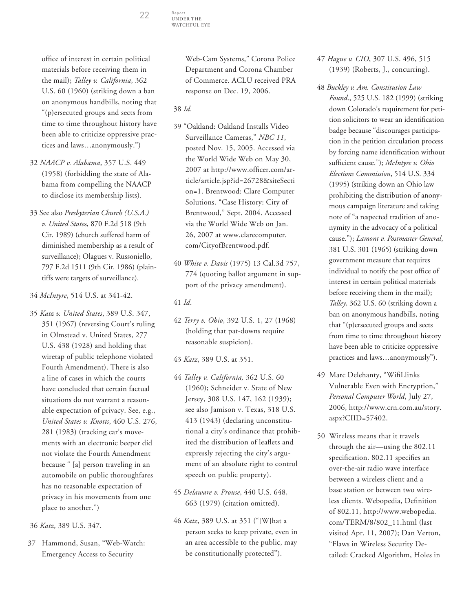Under the **WATCHFUL EYE** 

Report

office of interest in certain political materials before receiving them in the mail); *Talley v. California*, 362 U.S. 60 (1960) (striking down a ban on anonymous handbills, noting that "(p)ersecuted groups and sects from time to time throughout history have been able to criticize oppressive practices and laws…anonymously.")

- 32 *NAACP v. Alabama*, 357 U.S. 449 (1958) (forbidding the state of Alabama from compelling the NAACP to disclose its membership lists).
- 33 See also *Presbyterian Church (U.S.A.) v. United State*s, 870 F.2d 518 (9th Cir. 1989) (church suffered harm of diminished membership as a result of surveillance); Olagues v. Russoniello, 797 F.2d 1511 (9th Cir. 1986) (plaintiffs were targets of surveillance).
- 34 *McIntyre*, 514 U.S. at 341-42.
- 35 *Katz v. United States*, 389 U.S. 347, 351 (1967) (reversing Court's ruling in Olmstead v. United States, 277 U.S. 438 (1928) and holding that wiretap of public telephone violated Fourth Amendment). There is also a line of cases in which the courts have concluded that certain factual situations do not warrant a reasonable expectation of privacy. See, e.g., *United States v. Knotts*, 460 U.S. 276, 281 (1983) (tracking car's movements with an electronic beeper did not violate the Fourth Amendment because " [a] person traveling in an automobile on public thoroughfares has no reasonable expectation of privacy in his movements from one place to another.")
- 36 *Katz*, 389 U.S. 347.
- 37 Hammond, Susan, "Web-Watch: Emergency Access to Security

Web-Cam Systems," Corona Police Department and Corona Chamber of Commerce. ACLU received PRA response on Dec. 19, 2006.

#### 38 *Id*.

- 39 "Oakland: Oakland Installs Video Surveillance Cameras," *NBC 11*, posted Nov. 15, 2005. Accessed via the World Wide Web on May 30, 2007 at http://www.officer.com/article/article.jsp?id=26728&siteSecti on=1. Brentwood: Clare Computer Solutions. "Case History: City of Brentwood," Sept. 2004. Accessed via the World Wide Web on Jan. 26, 2007 at www.clarecomputer. com/CityofBrentwood.pdf.
- 40 *White v. Davis* (1975) 13 Cal.3d 757, 774 (quoting ballot argument in support of the privacy amendment).
- 41 *Id*.
- 42 *Terry v. Ohio*, 392 U.S. 1, 27 (1968) (holding that pat-downs require reasonable suspicion).
- 43 *Katz*, 389 U.S. at 351.
- 44 *Talley v. California,* 362 U.S. 60 (1960); Schneider v. State of New Jersey, 308 U.S. 147, 162 (1939); see also Jamison v. Texas, 318 U.S. 413 (1943) (declaring unconstitutional a city's ordinance that prohibited the distribution of leaflets and expressly rejecting the city's argument of an absolute right to control speech on public property).
- 45 *Delaware v. Prouse*, 440 U.S. 648, 663 (1979) (citation omitted).
- 46 *Katz*, 389 U.S. at 351 ("[W]hat a person seeks to keep private, even in an area accessible to the public, may be constitutionally protected").
- 47 *Hague v. CIO*, 307 U.S. 496, 515 (1939) (Roberts, J., concurring).
- 48 *Buckley v. Am. Constitution Law Found*., 525 U.S. 182 (1999) (striking down Colorado's requirement for petition solicitors to wear an identification badge because "discourages participation in the petition circulation process by forcing name identification without sufficient cause."); *McIntyre v. Ohio Elections Commission*, 514 U.S. 334 (1995) (striking down an Ohio law prohibiting the distribution of anonymous campaign literature and taking note of "a respected tradition of anonymity in the advocacy of a political cause."); *Lamont v. Postmaster General*, 381 U.S. 301 (1965) (striking down government measure that requires individual to notify the post office of interest in certain political materials before receiving them in the mail); *Talley*, 362 U.S. 60 (striking down a ban on anonymous handbills, noting that "(p)ersecuted groups and sects from time to time throughout history have been able to criticize oppressive practices and laws…anonymously").
- 49 Marc Delehanty, "WifiLlinks Vulnerable Even with Encryption," *Personal Computer World*, July 27, 2006, http://www.crn.com.au/story. aspx?CIID=57402.
- 50 Wireless means that it travels through the air—using the 802.11 specification. 802.11 specifies an over-the-air radio wave interface between a wireless client and a base station or between two wireless clients. Webopedia, Definition of 802.11, http://www.webopedia. com/TERM/8/802\_11.html (last visited Apr. 11, 2007); Dan Verton, "Flaws in Wireless Security Detailed: Cracked Algorithm, Holes in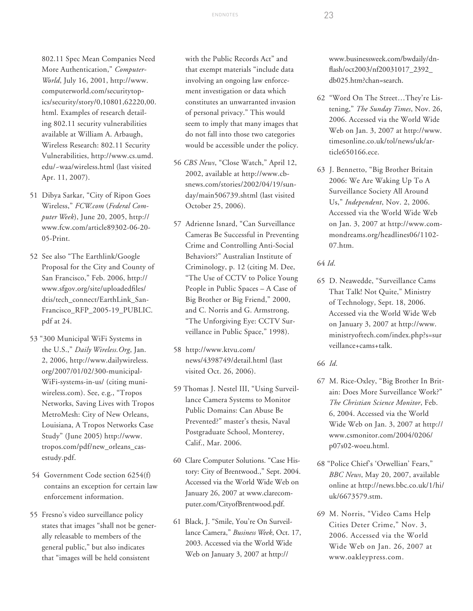802.11 Spec Mean Companies Need More Authentication," *Computer-World*, July 16, 2001, http://www. computerworld.com/securitytopics/security/story/0,10801,62220,00. html. Examples of research detailing 802.11 security vulnerabilities available at William A. Arbaugh, Wireless Research: 802.11 Security Vulnerabilities, http://www.cs.umd. edu/~waa/wireless.html (last visited Apr. 11, 2007).

- 51 Dibya Sarkar, "City of Ripon Goes Wireless," *FCW.com* (*Federal Computer Week*), June 20, 2005, http:// www.fcw.com/article89302-06-20- 05-Print.
- 52 See also "The Earthlink/Google Proposal for the City and County of San Francisco," Feb. 2006, http:// www.sfgov.org/site/uploadedfiles/ dtis/tech\_connect/EarthLink\_San-Francisco\_RFP\_2005-19\_PUBLIC. pdf at 24.
- 53 "300 Municipal WiFi Systems in the U.S.," *Daily Wireless.Org*, Jan. 2, 2006, http://www.dailywireless. org/2007/01/02/300-municipal-WiFi-systems-in-us/ (citing muniwireless.com). See, e.g., "Tropos Networks, Saving Lives with Tropos MetroMesh: City of New Orleans, Louisiana, A Tropos Networks Case Study" (June 2005) http://www. tropos.com/pdf/new\_orleans\_casestudy.pdf.
- 54 Government Code section 6254(f) contains an exception for certain law enforcement information.
- 55 Fresno's video surveillance policy states that images "shall not be generally releasable to members of the general public," but also indicates that "images will be held consistent

with the Public Records Act" and that exempt materials "include data involving an ongoing law enforcement investigation or data which constitutes an unwarranted invasion of personal privacy." This would seem to imply that many images that do not fall into those two categories would be accessible under the policy.

- 56 *CBS News*, "Close Watch," April 12, 2002, available at http://www.cbsnews.com/stories/2002/04/19/sunday/main506739.shtml (last visited October 25, 2006).
- 57 Adrienne Isnard, "Can Surveillance Cameras Be Successful in Preventing Crime and Controlling Anti-Social Behaviors?" Australian Institute of Criminology, p. 12 (citing M. Dee, "The Use of CCTV to Police Young People in Public Spaces – A Case of Big Brother or Big Friend," 2000, and C. Norris and G. Armstrong, "The Unforgiving Eye: CCTV Surveillance in Public Space," 1998).
- 58 http://www.ktvu.com/ news/4398749/detail.html (last visited Oct. 26, 2006).
- 59 Thomas J. Nestel III, "Using Surveillance Camera Systems to Monitor Public Domains: Can Abuse Be Prevented?" master's thesis, Naval Postgraduate School, Monterey, Calif., Mar. 2006.
- 60 Clare Computer Solutions. "Case History: City of Brentwood.," Sept. 2004. Accessed via the World Wide Web on January 26, 2007 at www.clarecomputer.com/CityofBrentwood.pdf.
- 61 Black, J. "Smile, You're On Surveillance Camera," *Business Week*, Oct. 17, 2003. Accessed via the World Wide Web on January 3, 2007 at http://

www.businessweek.com/bwdaily/dnflash/oct2003/nf20031017\_2392\_ db025.htm?chan=search.

- 62 "Word On The Street…They're Listening," *The Sunday Times*, Nov. 26, 2006. Accessed via the World Wide Web on Jan. 3, 2007 at http://www. timesonline.co.uk/tol/news/uk/article650166.ece.
- 63 J. Bennetto, "Big Brother Britain 2006: We Are Waking Up To A Surveillance Society All Around Us," *Independent*, Nov. 2, 2006. Accessed via the World Wide Web on Jan. 3, 2007 at http://www.commondreams.org/headlines06/1102- 07.htm.

64 *Id*.

- 65 D. Neawedde, "Surveillance Cams That Talk! Not Quite," Ministry of Technology, Sept. 18, 2006. Accessed via the World Wide Web on January 3, 2007 at http://www. ministryoftech.com/index.php?s=sur veillance+cams+talk.
- 66 *Id*.
- 67 M. Rice-Oxley, "Big Brother In Britain: Does More Surveillance Work?" *The Christian Science Monitor*, Feb. 6, 2004. Accessed via the World Wide Web on Jan. 3, 2007 at http:// www.csmonitor.com/2004/0206/ p07s02-woeu.html.
- 68 "Police Chief's 'Orwellian' Fears," *BBC News*, May 20, 2007, available online at http://news.bbc.co.uk/1/hi/ uk/6673579.stm.
- 69 M. Norris, "Video Cams Help Cities Deter Crime," Nov. 3, 2006. Accessed via the World Wide Web on Jan. 26, 2007 at www.oakleypress.com.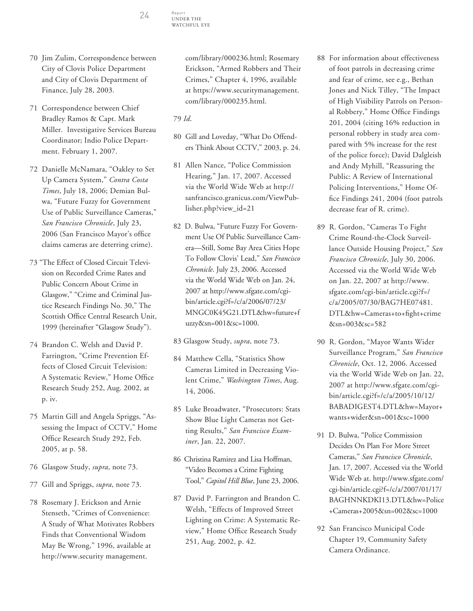Report

- 70 Jim Zulim, Correspondence between City of Clovis Police Department and City of Clovis Department of Finance, July 28, 2003.
- 71 Correspondence between Chief Bradley Ramos & Capt. Mark Miller. Investigative Services Bureau Coordinator; Indio Police Department. February 1, 2007.
- 72 Danielle McNamara, "Oakley to Set Up Camera System," *Contra Costa Times*, July 18, 2006; Demian Bulwa, "Future Fuzzy for Government Use of Public Surveillance Cameras," *San Francisco Chronicle*, July 23, 2006 (San Francisco Mayor's office claims cameras are deterring crime).
- 73 "The Effect of Closed Circuit Television on Recorded Crime Rates and Public Concern About Crime in Glasgow," "Crime and Criminal Justice Research Findings No. 30," The Scottish Office Central Research Unit, 1999 (hereinafter "Glasgow Study").
- 74 Brandon C. Welsh and David P. Farrington, "Crime Prevention Effects of Closed Circuit Television: A Systematic Review," Home Office Research Study 252, Aug. 2002, at p. iv.
- 75 Martin Gill and Angela Spriggs, "Assessing the Impact of CCTV," Home Office Research Study 292, Feb. 2005, at p. 58.
- 76 Glasgow Study, *supra*, note 73.
- 77 Gill and Spriggs, *supra*, note 73.
- 78 Rosemary J. Erickson and Arnie Stenseth, "Crimes of Convenience: A Study of What Motivates Robbers Finds that Conventional Wisdom May Be Wrong," 1996, available at http://www.security management.

com/library/000236.html; Rosemary Erickson, "Armed Robbers and Their Crimes," Chapter 4, 1996, available at https://www.securitymanagement. com/library/000235.html.

#### 79 *Id*.

- 80 Gill and Loveday, "What Do Offenders Think About CCTV," 2003, p. 24.
- 81 Allen Nance, "Police Commission Hearing," Jan. 17, 2007. Accessed via the World Wide Web at http:// sanfrancisco.granicus.com/ViewPublisher.php?view\_id=21
- 82 D. Bulwa, "Future Fuzzy For Government Use Of Public Surveillance Camera—Still, Some Bay Area Cities Hope To Follow Clovis' Lead," *San Francisco Chronicle*. July 23, 2006. Accessed via the World Wide Web on Jan. 24, 2007 at http://www.sfgate.com/cgibin/article.cgi?f=/c/a/2006/07/23/ MNGC0K45G21.DTL&hw=future+f uzzy&sn=001&sc=1000.
- 83 Glasgow Study, *supra*, note 73.
- 84 Matthew Cella, "Statistics Show Cameras Limited in Decreasing Violent Crime," *Washington Times*, Aug. 14, 2006.
- 85 Luke Broadwater, "Prosecutors: Stats Show Blue Light Cameras not Getting Results," *San Francisco Examiner*, Jan. 22, 2007.
- 86 Christina Ramirez and Lisa Hoffman, "Video Becomes a Crime Fighting Tool," *Capitol Hill Blue*, June 23, 2006.
- 87 David P. Farrington and Brandon C. Welsh, "Effects of Improved Street Lighting on Crime: A Systematic Review," Home Office Research Study 251, Aug. 2002, p. 42.
- 88 For information about effectiveness of foot patrols in decreasing crime and fear of crime, see e.g., Bethan Jones and Nick Tilley, "The Impact of High Visibility Patrols on Personal Robbery," Home Office Findings 201, 2004 (citing 16% reduction in personal robbery in study area compared with 5% increase for the rest of the police force); David Dalgleish and Andy Myhill, "Reassuring the Public: A Review of International Policing Interventions," Home Office Findings 241, 2004 (foot patrols decrease fear of R. crime).
- 89 R. Gordon, "Cameras To Fight Crime Round-the-Clock Surveillance Outside Housing Project," *San Francisco Chronicle*, July 30, 2006. Accessed via the World Wide Web on Jan. 22, 2007 at http://www. sfgate.com/cgi-bin/article.cgi?f=/ c/a/2005/07/30/BAG7HE07481. DTL&hw=Cameras+to+fight+crime  $&8x\cdot 1003&8x\cdot 582$
- 90 R. Gordon, "Mayor Wants Wider Surveillance Program," *San Francisco Chronicle*, Oct. 12, 2006. Accessed via the World Wide Web on Jan. 22, 2007 at http://www.sfgate.com/cgibin/article.cgi?f=/c/a/2005/10/12/ BABADIGEST4.DTL&hw=Mayor+ wants+wider&sn=001&sc=1000
- 91 D. Bulwa, "Police Commission Decides On Plan For More Street Cameras," *San Francisco Chronicle*, Jan. 17, 2007. Accessed via the World Wide Web at. http://www.sfgate.com/ cgi-bin/article.cgi?f=/c/a/2007/01/17/ BAGHNNKDKI13.DTL&hw=Police +Cameras+2005&sn=002&sc=1000
- 92 San Francisco Municipal Code Chapter 19, Community Safety Camera Ordinance.

24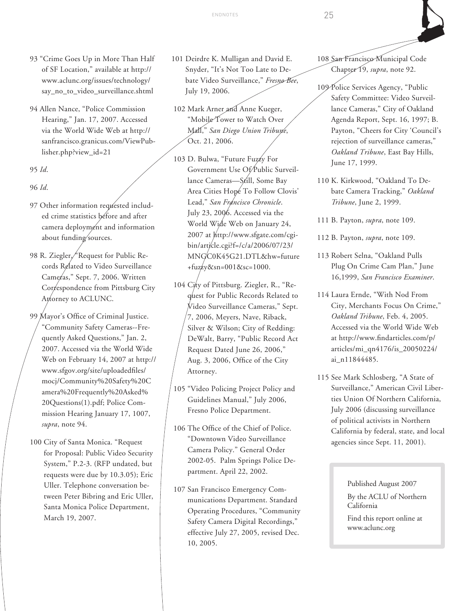- 93 "Crime Goes Up in More Than Half of SF Location," available at http:// www.aclunc.org/issues/technology/ say\_no\_to\_video\_surveillance.shtml
- 94 Allen Nance, "Police Commission Hearing," Jan. 17, 2007. Accessed via the World Wide Web at http:// sanfrancisco.granicus.com/ViewPublisher.php?view\_id=21

95 *Id*.

96 *Id*.

- 97 Other information requested included crime statistics before and after camera deployment and information about funding sources.
- 98 R. Ziegler, Request for Public Records Related to Video Surveillance Cameras," Sept. 7, 2006. Written Correspondence from Pittsburg City Attorney to ACLUNC.
- 99 Mayor's Office of Criminal Justice. "Community Safety Cameras--Frequently Asked Questions," Jan. 2, 2007. Accessed via the World Wide Web on February 14, 2007 at http:// www.sfgov.org/site/uploadedfiles/ mocj/Community%20Safety%20C amera%20Frequently%20Asked% 20Questions(1).pdf; Police Commission Hearing January 17, 1007, *supra*, note 94.
- 100 City of Santa Monica. "Request for Proposal: Public Video Security System," P.2-3. (RFP undated, but requests were due by 10.3.05); Eric Uller. Telephone conversation between Peter Bibring and Eric Uller, Santa Monica Police Department, March 19, 2007.
- 101 Deirdre K. Mulligan and David E. Snyder, "It's Not Too Late to Debate Video Surveillance," *Fresno Bee*, July 19, 2006.
- 102 Mark Arner and Anne Kueger, "Mobile Tower to Watch Over Mall," *San Diego Union Tribune*, Oct. 21, 2006.
- 103 D. Bulwa, "Future Fuzzy For Government Use Of Public Surveillance Cameras—Still, Some Bay Area Cities Hope To Follow Clovis' Lead," *San Francisco Chronicle*. July 23, 2006. Accessed via the World Wide Web on January 24, 2007 at http://www.sfgate.com/cgibin/article.cgi?f=/c/a/2006/07/23/ MNGC0K45G21.DTL&hw=future + $fuzzy & sn = 001 & sc = 1000.$
- 104 City of Pittsburg. Ziegler, R., "Request for Public Records Related to Video Surveillance Cameras," Sept. 7, 2006, Meyers, Nave, Riback, Silver & Wilson; City of Redding: DeWalt, Barry, "Public Record Act Request Dated June 26, 2006," Aug. 3, 2006, Office of the City Attorney.
- 105 "Video Policing Project Policy and Guidelines Manual," July 2006, Fresno Police Department.
- 106 The Office of the Chief of Police. "Downtown Video Surveillance Camera Policy." General Order 2002-05. Palm Springs Police Department. April 22, 2002.
- 107 San Francisco Emergency Communications Department. Standard Operating Procedures, "Community Safety Camera Digital Recordings," effective July 27, 2005, revised Dec. 10, 2005.

 108 San Francisco Municipal Code Chapter 19, *supra*, note 92.

- 109 Police Services Agency, "Public Safety Committee: Video Surveillance Cameras," City of Oakland Agenda Report, Sept. 16, 1997; B. Payton, "Cheers for City 'Council's rejection of surveillance cameras," *Oakland Tribune*, East Bay Hills, June 17, 1999.
- 110 K. Kirkwood, "Oakland To Debate Camera Tracking," *Oakland Tribune*, June 2, 1999.
- 111 B. Payton, *supra*, note 109.
- 112 B. Payton, *supra*, note 109.
- 113 Robert Selna, "Oakland Pulls Plug On Crime Cam Plan," June 16,1999, *San Francisco Examiner*.
- 114 Laura Ernde, "With Nod From City, Merchants Focus On Crime," *Oakland Tribune*, Feb. 4, 2005. Accessed via the World Wide Web at http://www.findarticles.com/p/ articles/mi\_qn4176/is\_20050224/ ai\_n11844485.
- 115 See Mark Schlosberg, "A State of Surveillance," American Civil Liberties Union Of Northern California, July 2006 (discussing surveillance of political activists in Northern California by federal, state, and local agencies since Sept. 11, 2001).

Published August 2007 By the ACLU of Northern California Find this report online at

www.aclunc.org